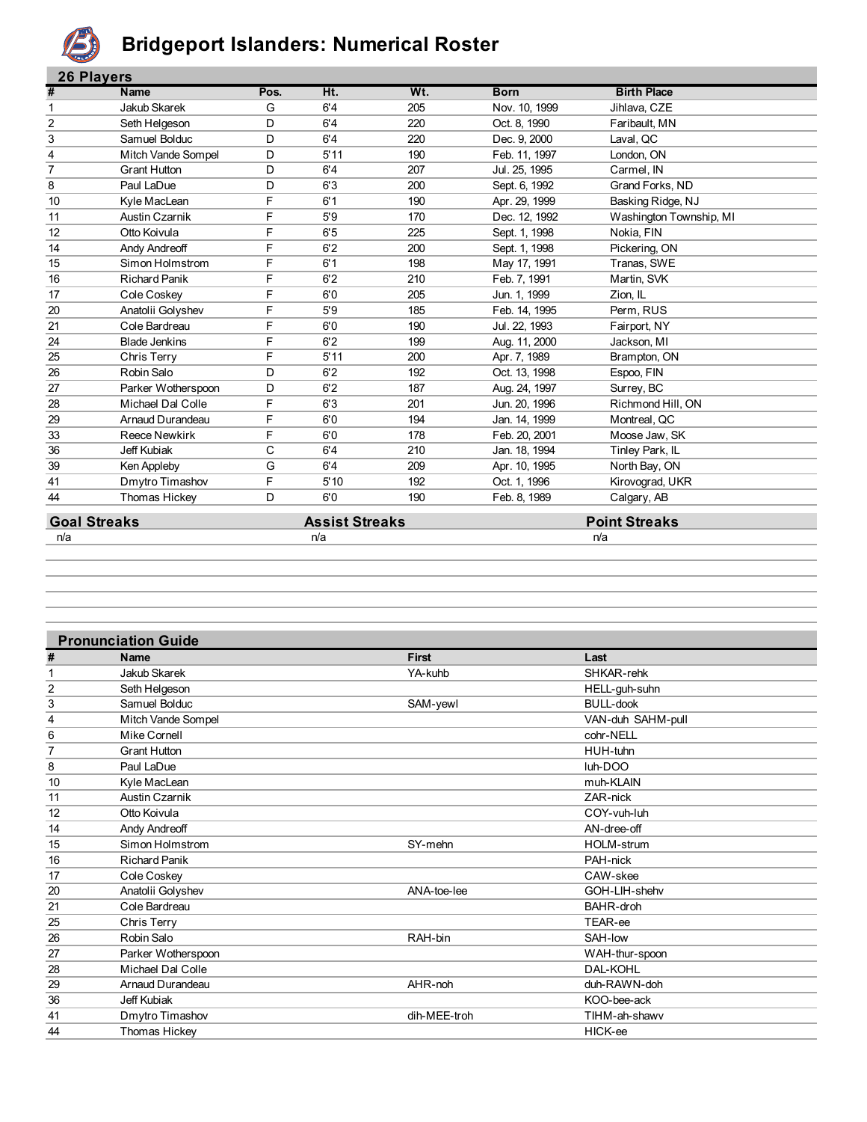

#### **Bridgeport Islanders: Numerical Roster**

| <b>26 Players</b> |                      |      |      |     |               |                         |
|-------------------|----------------------|------|------|-----|---------------|-------------------------|
| #                 | Name                 | Pos. | Ht.  | Wt. | <b>Born</b>   | <b>Birth Place</b>      |
| 1                 | Jakub Skarek         | G    | 6'4  | 205 | Nov. 10, 1999 | Jihlava, CZE            |
| $\overline{2}$    | Seth Helgeson        | D    | 6'4  | 220 | Oct. 8, 1990  | Faribault, MN           |
| 3                 | Samuel Bolduc        | D    | 6'4  | 220 | Dec. 9, 2000  | Laval, QC               |
| 4                 | Mitch Vande Sompel   | D    | 5'11 | 190 | Feb. 11, 1997 | London, ON              |
| $\overline{7}$    | <b>Grant Hutton</b>  | D    | 6'4  | 207 | Jul. 25, 1995 | Carmel, IN              |
| 8                 | Paul LaDue           | D    | 6'3  | 200 | Sept. 6, 1992 | Grand Forks, ND         |
| 10                | Kyle MacLean         | F    | 6'1  | 190 | Apr. 29, 1999 | Basking Ridge, NJ       |
| 11                | Austin Czarnik       | F    | 5'9  | 170 | Dec. 12, 1992 | Washington Township, MI |
| 12                | Otto Koivula         | F    | 6'5  | 225 | Sept. 1, 1998 | Nokia, FIN              |
| 14                | <b>Andy Andreoff</b> | F    | 6'2  | 200 | Sept. 1, 1998 | Pickering, ON           |
| 15                | Simon Holmstrom      | F    | 6'1  | 198 | May 17, 1991  | Tranas, SWE             |
| 16                | <b>Richard Panik</b> | F    | 6'2  | 210 | Feb. 7, 1991  | Martin, SVK             |
| 17                | Cole Coskey          | F    | 6'0  | 205 | Jun. 1, 1999  | Zion, IL                |
| 20                | Anatolii Golyshev    | F    | 5'9  | 185 | Feb. 14, 1995 | Perm, RUS               |
| 21                | Cole Bardreau        | F    | 6'0  | 190 | Jul. 22, 1993 | Fairport, NY            |
| 24                | <b>Blade Jenkins</b> | F    | 6'2  | 199 | Aug. 11, 2000 | Jackson, MI             |
| 25                | Chris Terry          | F    | 5'11 | 200 | Apr. 7, 1989  | Brampton, ON            |
| 26                | Robin Salo           | D    | 6'2  | 192 | Oct. 13, 1998 | Espoo, FIN              |
| 27                | Parker Wotherspoon   | D    | 6'2  | 187 | Aug. 24, 1997 | Surrey, BC              |
| 28                | Michael Dal Colle    | F    | 6'3  | 201 | Jun. 20, 1996 | Richmond Hill, ON       |
| 29                | Arnaud Durandeau     | F    | 6'0  | 194 | Jan. 14, 1999 | Montreal, QC            |
| 33                | <b>Reece Newkirk</b> | F    | 6'0  | 178 | Feb. 20, 2001 | Moose Jaw, SK           |
| 36                | Jeff Kubiak          | С    | 6'4  | 210 | Jan. 18, 1994 | Tinley Park, IL         |
| 39                | Ken Appleby          | G    | 6'4  | 209 | Apr. 10, 1995 | North Bay, ON           |
| 41                | Dmytro Timashov      | F    | 5'10 | 192 | Oct. 1, 1996  | Kirovograd, UKR         |
| 44                | <b>Thomas Hickey</b> | D    | 6'0  | 190 | Feb. 8, 1989  | Calgary, AB             |
|                   |                      |      |      |     |               |                         |

#### **Goal Streaks Assist Streaks Assist Streaks Point Streaks Point Streaks Point Streaks Point Streaks Point Streaks Point Streaks Point Streaks Point Streaks Point Streaks Point Streaks Point Streak**

| า/ล<br>r |  |  |
|----------|--|--|
|          |  |  |

|                | <b>Pronunciation Guide</b> |              |                   |
|----------------|----------------------------|--------------|-------------------|
| #              | Name                       | <b>First</b> | Last              |
|                | Jakub Skarek               | YA-kuhb      | SHKAR-rehk        |
| $\overline{c}$ | Seth Helgeson              |              | HELL-guh-suhn     |
| 3              | Samuel Bolduc              | SAM-yewl     | <b>BULL-dook</b>  |
| 4              | Mitch Vande Sompel         |              | VAN-duh SAHM-pull |
| 6              | Mike Cornell               |              | cohr-NELL         |
| 7              | <b>Grant Hutton</b>        |              | HUH-tuhn          |
| 8              | Paul LaDue                 |              | luh-DOO           |
| 10             | Kyle MacLean               |              | muh-KLAIN         |
| 11             | Austin Czarnik             |              | ZAR-nick          |
| 12             | Otto Koivula               |              | COY-vuh-luh       |
| 14             | Andy Andreoff              |              | AN-dree-off       |
| 15             | Simon Holmstrom            | SY-mehn      | <b>HOLM-strum</b> |
| 16             | <b>Richard Panik</b>       |              | PAH-nick          |
| 17             | Cole Coskey                |              | CAW-skee          |
| 20             | Anatolii Golyshev          | ANA-toe-lee  | GOH-LIH-shehv     |
| 21             | Cole Bardreau              |              | <b>BAHR-droh</b>  |
| 25             | Chris Terry                |              | TEAR-ee           |
| 26             | Robin Salo                 | RAH-bin      | SAH-Iow           |
| 27             | Parker Wotherspoon         |              | WAH-thur-spoon    |
| 28             | Michael Dal Colle          |              | <b>DAL-KOHL</b>   |
| 29             | Arnaud Durandeau           | AHR-noh      | duh-RAWN-doh      |
| 36             | Jeff Kubiak                |              | KOO-bee-ack       |
| 41             | Dmytro Timashov            | dih-MEE-troh | TIHM-ah-shawv     |
| 44             | Thomas Hickey              |              | HICK-ee           |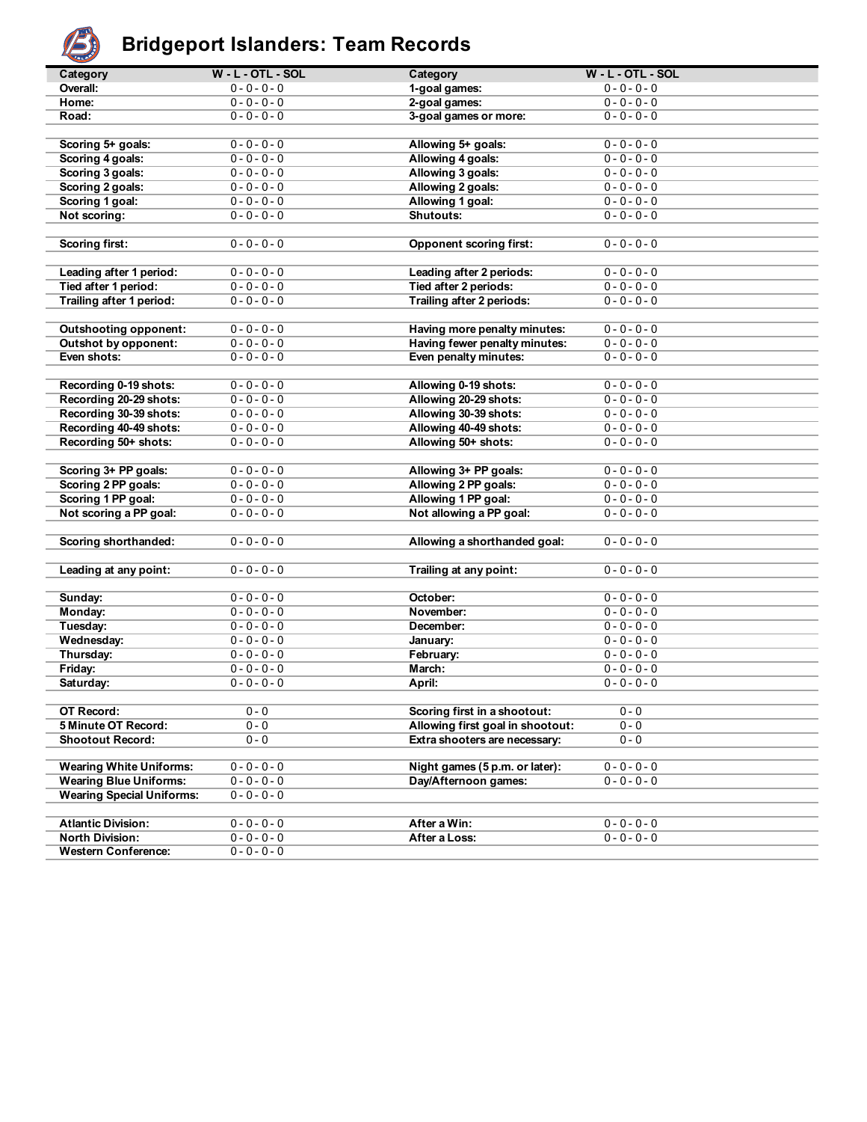

## **Bridgeport Islanders: Team Records**

| تخلفت                            |                     |                                  |                     |
|----------------------------------|---------------------|----------------------------------|---------------------|
| Category                         | $W - L - OTL - SOL$ | Category                         | $W - L - OTL - SOL$ |
| Overall:                         | $0 - 0 - 0 - 0$     | 1-goal games:                    | $0 - 0 - 0 - 0$     |
| Home:                            | $0 - 0 - 0 - 0$     | 2-goal games:                    | $0 - 0 - 0 - 0$     |
| Road:                            | $0 - 0 - 0 - 0$     | 3-goal games or more:            | $0 - 0 - 0 - 0$     |
|                                  |                     |                                  |                     |
| Scoring 5+ goals:                | $0 - 0 - 0 - 0$     | Allowing 5+ goals:               | $0 - 0 - 0 - 0$     |
| Scoring 4 goals:                 | $0 - 0 - 0 - 0$     | Allowing 4 goals:                | $0 - 0 - 0 - 0$     |
| Scoring 3 goals:                 | $0 - 0 - 0 - 0$     | Allowing 3 goals:                | $0 - 0 - 0 - 0$     |
| Scoring 2 goals:                 | $0 - 0 - 0 - 0$     | Allowing 2 goals:                | $0 - 0 - 0 - 0$     |
| Scoring 1 goal:                  | $0 - 0 - 0 - 0$     | Allowing 1 goal:                 | $0 - 0 - 0 - 0$     |
| Not scoring:                     | $0 - 0 - 0 - 0$     | Shutouts:                        | $0 - 0 - 0 - 0$     |
|                                  |                     |                                  |                     |
| <b>Scoring first:</b>            | $0 - 0 - 0 - 0$     | <b>Opponent scoring first:</b>   | $0 - 0 - 0 - 0$     |
|                                  |                     |                                  |                     |
|                                  |                     |                                  |                     |
| Leading after 1 period:          | $0 - 0 - 0 - 0$     | Leading after 2 periods:         | $0 - 0 - 0 - 0$     |
| Tied after 1 period:             | $0 - 0 - 0 - 0$     | Tied after 2 periods:            | $0 - 0 - 0 - 0$     |
| Trailing after 1 period:         | $0 - 0 - 0 - 0$     | Trailing after 2 periods:        | $0 - 0 - 0 - 0$     |
|                                  |                     |                                  |                     |
| <b>Outshooting opponent:</b>     | $0 - 0 - 0 - 0$     | Having more penalty minutes:     | $0 - 0 - 0 - 0$     |
| Outshot by opponent:             | $0 - 0 - 0 - 0$     | Having fewer penalty minutes:    | $0 - 0 - 0 - 0$     |
| Even shots:                      | $0 - 0 - 0 - 0$     | Even penalty minutes:            | $0 - 0 - 0 - 0$     |
|                                  |                     |                                  |                     |
| Recording 0-19 shots:            | $0 - 0 - 0 - 0$     | Allowing 0-19 shots:             | $0 - 0 - 0 - 0$     |
| Recording 20-29 shots:           | $0 - 0 - 0 - 0$     | Allowing 20-29 shots:            | $0 - 0 - 0 - 0$     |
| Recording 30-39 shots:           | $0 - 0 - 0 - 0$     | Allowing 30-39 shots:            | $0 - 0 - 0 - 0$     |
| Recording 40-49 shots:           | $0 - 0 - 0 - 0$     | Allowing 40-49 shots:            | $0 - 0 - 0 - 0$     |
| Recording 50+ shots:             | $0 - 0 - 0 - 0$     | Allowing 50+ shots:              | $0 - 0 - 0 - 0$     |
|                                  |                     |                                  |                     |
| Scoring 3+ PP goals:             | $0 - 0 - 0 - 0$     | Allowing 3+ PP goals:            | $0 - 0 - 0 - 0$     |
| Scoring 2 PP goals:              | $0 - 0 - 0 - 0$     | Allowing 2 PP goals:             | $0 - 0 - 0 - 0$     |
| Scoring 1 PP goal:               | $0 - 0 - 0 - 0$     | Allowing 1 PP goal:              | $0 - 0 - 0 - 0$     |
| Not scoring a PP goal:           | $0 - 0 - 0 - 0$     | Not allowing a PP goal:          | $0 - 0 - 0 - 0$     |
|                                  |                     |                                  |                     |
| Scoring shorthanded:             | $0 - 0 - 0 - 0$     | Allowing a shorthanded goal:     | $0 - 0 - 0 - 0$     |
|                                  |                     |                                  |                     |
| Leading at any point:            | $0 - 0 - 0 - 0$     |                                  | $0 - 0 - 0 - 0$     |
|                                  |                     | Trailing at any point:           |                     |
|                                  |                     |                                  |                     |
| Sunday:                          | $0 - 0 - 0 - 0$     | October:                         | $0 - 0 - 0 - 0$     |
| Monday:                          | $0 - 0 - 0 - 0$     | November:                        | $0 - 0 - 0 - 0$     |
| Tuesday:                         | $0 - 0 - 0 - 0$     | December:                        | $0 - 0 - 0 - 0$     |
| Wednesday:                       | $0 - 0 - 0 - 0$     | January:                         | $0 - 0 - 0 - 0$     |
| Thursday:                        | $0 - 0 - 0 - 0$     | February:                        | $0 - 0 - 0 - 0$     |
| Friday:                          | $0 - 0 - 0 - 0$     | March:                           | $0 - 0 - 0 - 0$     |
| Saturday:                        | $0 - 0 - 0 - 0$     | April:                           | $0 - 0 - 0 - 0$     |
|                                  |                     |                                  |                     |
| OT Record:                       | $0 - 0$             | Scoring first in a shootout:     | $0 - 0$             |
| 5 Minute OT Record:              | $0 - 0$             | Allowing first goal in shootout: | $0 - 0$             |
| <b>Shootout Record:</b>          | 0 - 0               | Extra shooters are necessary:    | $0 - 0$             |
|                                  |                     |                                  |                     |
| <b>Wearing White Uniforms:</b>   | $0 - 0 - 0 - 0$     | Night games (5 p.m. or later):   | $0 - 0 - 0 - 0$     |
| <b>Wearing Blue Uniforms:</b>    | $0 - 0 - 0 - 0$     | Day/Afternoon games:             | $0 - 0 - 0 - 0$     |
| <b>Wearing Special Uniforms:</b> | $0 - 0 - 0 - 0$     |                                  |                     |
|                                  |                     |                                  |                     |
| <b>Atlantic Division:</b>        | $0 - 0 - 0 - 0$     | After a Win:                     | $0 - 0 - 0 - 0$     |
| <b>North Division:</b>           | $0 - 0 - 0 - 0$     | After a Loss:                    | $0 - 0 - 0 - 0$     |
| <b>Western Conference:</b>       | $0 - 0 - 0 - 0$     |                                  |                     |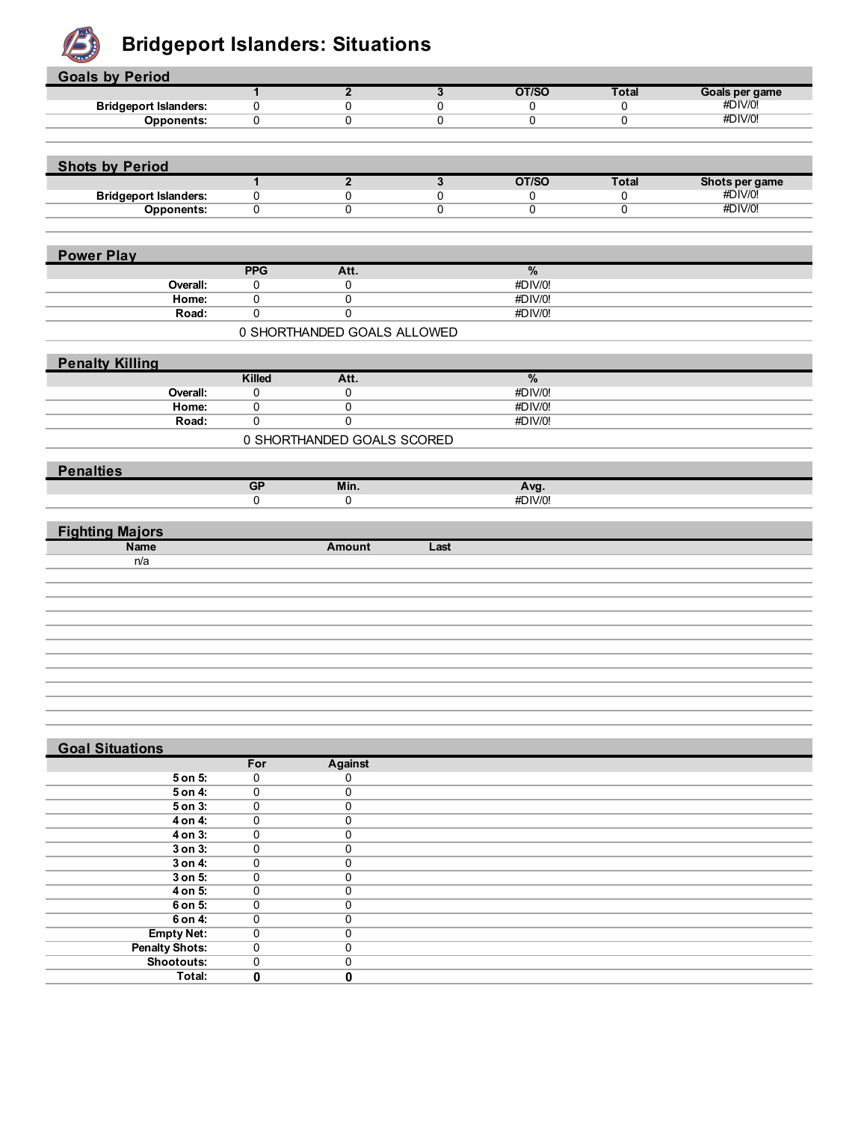

#### **B** Bridgeport Islanders: Situations

| <b>Goals by Period</b>       |                                  |                                  |                         |                    |              |                |
|------------------------------|----------------------------------|----------------------------------|-------------------------|--------------------|--------------|----------------|
|                              | $\overline{1}$                   | $\overline{2}$                   | $\overline{3}$          | OT/SO              | <b>Total</b> | Goals per game |
| <b>Bridgeport Islanders:</b> | 0                                | $\mathbf 0$                      | 0                       | 0                  | 0            | #DIV/0!        |
| <b>Opponents:</b>            | $\mathbf 0$                      | $\overline{0}$                   | $\overline{0}$          | $\overline{0}$     | 0            | #DIV/0!        |
|                              |                                  |                                  |                         |                    |              |                |
|                              |                                  |                                  |                         |                    |              |                |
| <b>Shots by Period</b>       | $\overline{1}$                   | $\overline{2}$                   | $\overline{\mathbf{3}}$ | OT/SO              | <b>Total</b> | Shots per game |
| <b>Bridgeport Islanders:</b> | $\pmb{0}$                        | 0                                | 0                       | 0                  | 0            | #DIV/0!        |
| <b>Opponents:</b>            | $\pmb{0}$                        | $\mathbf 0$                      | $\mathbf 0$             | $\overline{0}$     | 0            | #DIV/0!        |
|                              |                                  |                                  |                         |                    |              |                |
|                              |                                  |                                  |                         |                    |              |                |
| <b>Power Play</b>            |                                  |                                  |                         |                    |              |                |
|                              | <b>PPG</b>                       | Att.                             |                         | $\%$               |              |                |
| Overall:                     | 0                                | 0                                |                         | #DIV/0!<br>#DIV/0! |              |                |
| Home:<br>Road:               | $\overline{0}$<br>$\overline{0}$ | $\overline{0}$<br>$\overline{0}$ |                         | #DIV/0!            |              |                |
|                              |                                  |                                  |                         |                    |              |                |
|                              |                                  | 0 SHORTHANDED GOALS ALLOWED      |                         |                    |              |                |
| <b>Penalty Killing</b>       |                                  |                                  |                         |                    |              |                |
|                              | Killed                           | Att.                             |                         | $\%$               |              |                |
| Overall:                     | 0                                | 0                                |                         | #DIV/0!            |              |                |
| Home:                        | $\overline{0}$                   | $\overline{0}$                   |                         | #DIV/0!            |              |                |
| Road:                        | $\pmb{0}$                        | $\pmb{0}$                        |                         | #DIV/0!            |              |                |
|                              |                                  | 0 SHORTHANDED GOALS SCORED       |                         |                    |              |                |
|                              |                                  |                                  |                         |                    |              |                |
|                              |                                  |                                  |                         |                    |              |                |
|                              |                                  |                                  |                         |                    |              |                |
| <b>Penalties</b>             | GP                               | Min.                             |                         | Avg.               |              |                |
|                              | 0                                | $\overline{0}$                   |                         | #DIV/0!            |              |                |
|                              |                                  |                                  |                         |                    |              |                |
| <b>Fighting Majors</b>       |                                  |                                  |                         |                    |              |                |
| <b>Name</b>                  |                                  | <b>Amount</b>                    | Last                    |                    |              |                |
| n/a                          |                                  |                                  |                         |                    |              |                |
|                              |                                  |                                  |                         |                    |              |                |
|                              |                                  |                                  |                         |                    |              |                |
|                              |                                  |                                  |                         |                    |              |                |
|                              |                                  |                                  |                         |                    |              |                |
|                              |                                  |                                  |                         |                    |              |                |
|                              |                                  |                                  |                         |                    |              |                |
|                              |                                  |                                  |                         |                    |              |                |
|                              |                                  |                                  |                         |                    |              |                |
|                              |                                  |                                  |                         |                    |              |                |
|                              |                                  |                                  |                         |                    |              |                |
|                              |                                  |                                  |                         |                    |              |                |
| <b>Goal Situations</b>       | For                              | <b>Against</b>                   |                         |                    |              |                |
| 5 on 5:                      | 0                                | 0                                |                         |                    |              |                |
| 5 on 4:                      | $\mathbf 0$                      | $\overline{0}$                   |                         |                    |              |                |
| $5$ on $3:$                  | $\overline{0}$                   | $\overline{0}$                   |                         |                    |              |                |
| 4 on 4:                      | 0                                | $\mathbf 0$                      |                         |                    |              |                |
| $4$ on $3:$                  | $\mathbf 0$                      | $\overline{0}$                   |                         |                    |              |                |
| $3$ on $3$ :<br>3 on 4:      | $\overline{0}$<br>0              | $\overline{0}$<br>$\overline{0}$ |                         |                    |              |                |

| 3 on 4:                             |  |  |
|-------------------------------------|--|--|
| 3 on 5:                             |  |  |
| 4 on 5:                             |  |  |
| 6 on 5:                             |  |  |
| 6 on 4:                             |  |  |
| <b>Empty Net:</b>                   |  |  |
| <b>Penalty Shots:</b><br>Shootouts: |  |  |
|                                     |  |  |
| Total:                              |  |  |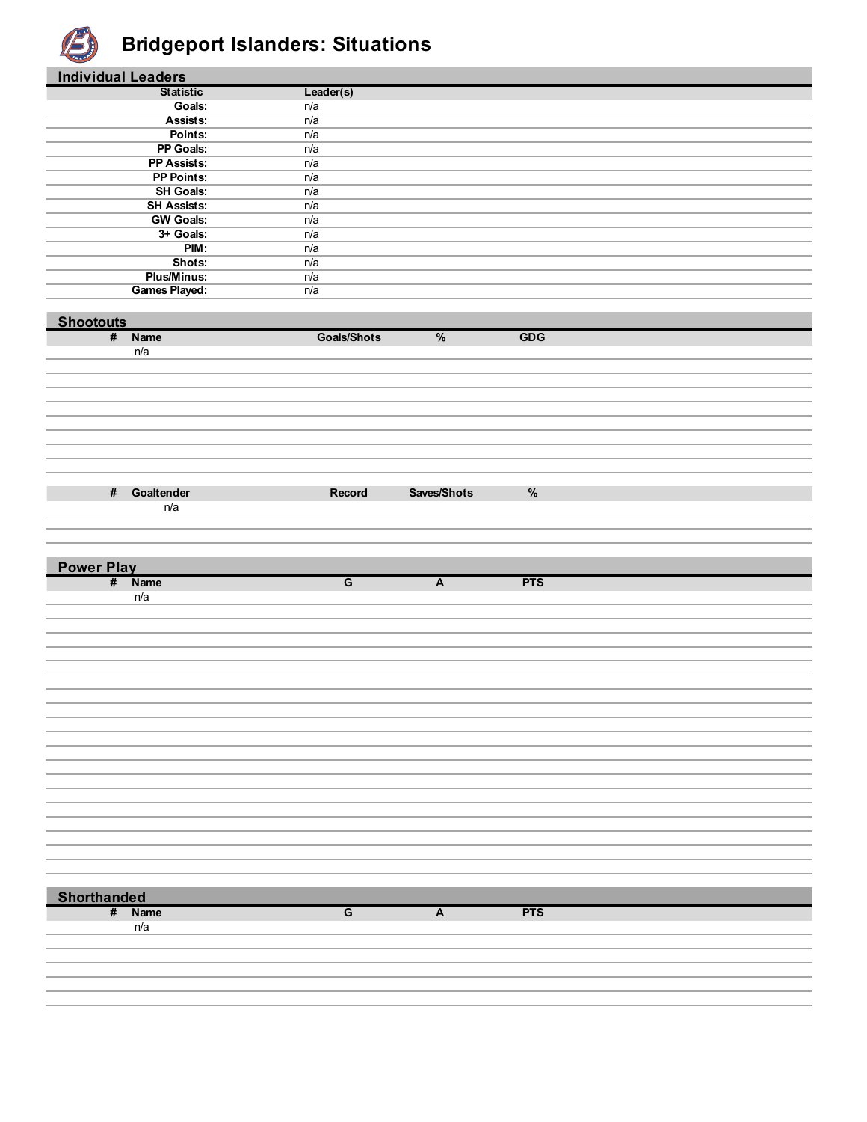

#### **Bridgeport Islanders: Situations**

| <b>Individual Leaders</b> |                                       |                    |                |            |  |
|---------------------------|---------------------------------------|--------------------|----------------|------------|--|
|                           | <b>Statistic</b>                      | Leader(s)          |                |            |  |
|                           | Goals:                                | n/a                |                |            |  |
|                           | Assists:                              | n/a                |                |            |  |
|                           | Points:                               | n/a                |                |            |  |
|                           | PP Goals:                             | n/a                |                |            |  |
|                           | PP Assists:                           | n/a                |                |            |  |
|                           | <b>PP Points:</b><br><b>SH Goals:</b> | n/a<br>n/a         |                |            |  |
|                           | <b>SH Assists:</b>                    | n/a                |                |            |  |
|                           | <b>GW Goals:</b>                      | n/a                |                |            |  |
|                           | 3+ Goals:                             | n/a                |                |            |  |
|                           | PIM:                                  | n/a                |                |            |  |
|                           | Shots:                                | n/a                |                |            |  |
|                           | <b>Plus/Minus:</b>                    | n/a                |                |            |  |
|                           | <b>Games Played:</b>                  | n/a                |                |            |  |
|                           |                                       |                    |                |            |  |
| <b>Shootouts</b>          |                                       |                    |                |            |  |
|                           | # Name                                | <b>Goals/Shots</b> | $\%$           | <b>GDG</b> |  |
|                           | n/a                                   |                    |                |            |  |
|                           |                                       |                    |                |            |  |
|                           |                                       |                    |                |            |  |
|                           |                                       |                    |                |            |  |
|                           |                                       |                    |                |            |  |
|                           |                                       |                    |                |            |  |
|                           |                                       |                    |                |            |  |
|                           |                                       |                    |                |            |  |
|                           |                                       |                    |                |            |  |
|                           |                                       |                    |                |            |  |
| $\#$                      | Goaltender                            | Record             | Saves/Shots    | $\%$       |  |
|                           | n/a                                   |                    |                |            |  |
|                           |                                       |                    |                |            |  |
|                           |                                       |                    |                |            |  |
|                           |                                       |                    |                |            |  |
|                           |                                       |                    |                |            |  |
|                           |                                       |                    |                |            |  |
| <b>Power Play</b>         | # Name                                | $\overline{G}$     | $\overline{A}$ | <b>PTS</b> |  |
|                           | n/a                                   |                    |                |            |  |
|                           |                                       |                    |                |            |  |
|                           |                                       |                    |                |            |  |
|                           |                                       |                    |                |            |  |
|                           |                                       |                    |                |            |  |
|                           |                                       |                    |                |            |  |
|                           |                                       |                    |                |            |  |
|                           |                                       |                    |                |            |  |
|                           |                                       |                    |                |            |  |
|                           |                                       |                    |                |            |  |
|                           |                                       |                    |                |            |  |
|                           |                                       |                    |                |            |  |
|                           |                                       |                    |                |            |  |
|                           |                                       |                    |                |            |  |
|                           |                                       |                    |                |            |  |
|                           |                                       |                    |                |            |  |
|                           |                                       |                    |                |            |  |
|                           |                                       |                    |                |            |  |
|                           |                                       |                    |                |            |  |
|                           |                                       |                    |                |            |  |
|                           |                                       |                    |                |            |  |
| <b>Shorthanded</b>        |                                       |                    |                |            |  |
|                           | # Name                                | $\overline{G}$     | $\overline{A}$ | <b>PTS</b> |  |
|                           | n/a                                   |                    |                |            |  |
|                           |                                       |                    |                |            |  |
|                           |                                       |                    |                |            |  |
|                           |                                       |                    |                |            |  |
|                           |                                       |                    |                |            |  |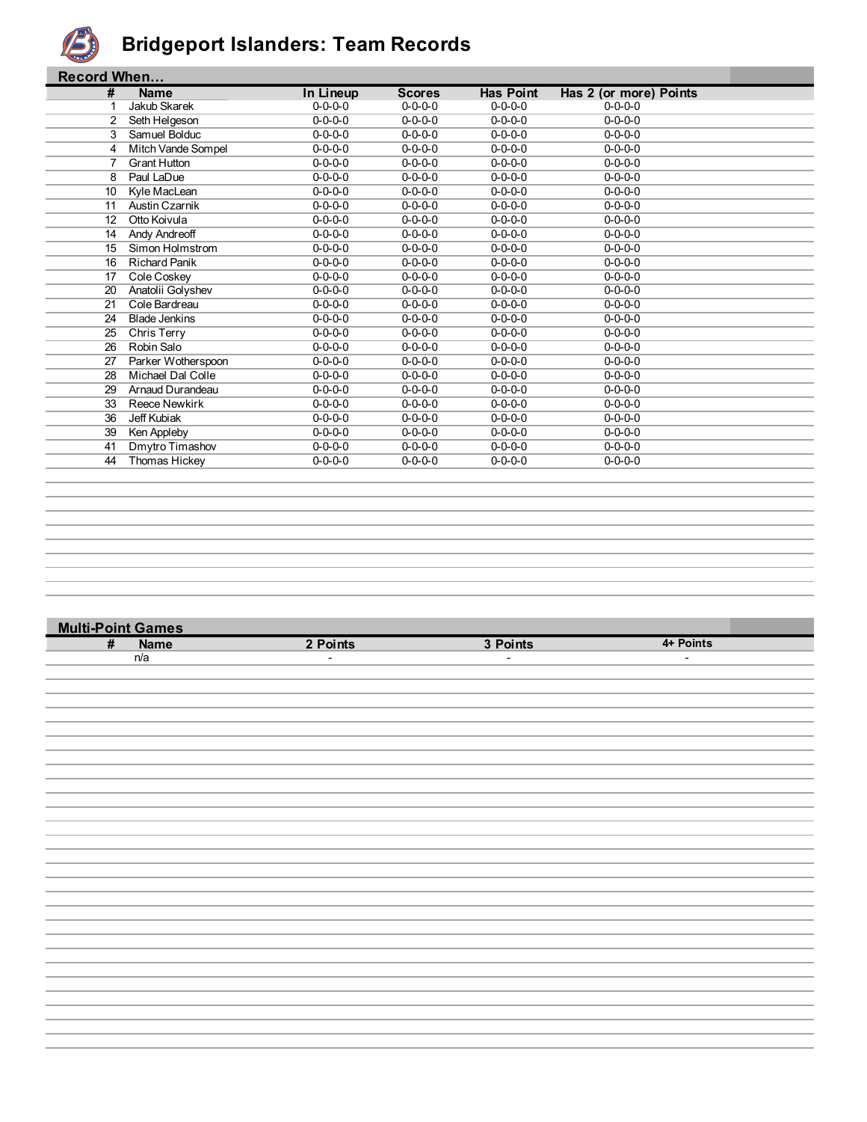

#### **Bridgeport Islanders: Team Records**

|    | <b>Record When</b>   |                 |                 |                  |                        |  |  |
|----|----------------------|-----------------|-----------------|------------------|------------------------|--|--|
| #  | <b>Name</b>          | In Lineup       | <b>Scores</b>   | <b>Has Point</b> | Has 2 (or more) Points |  |  |
|    | Jakub Skarek         | $0 - 0 - 0 - 0$ | $0 - 0 - 0 - 0$ | $0 - 0 - 0 - 0$  | $0 - 0 - 0 - 0$        |  |  |
| 2  | Seth Helgeson        | $0 - 0 - 0 - 0$ | $0 - 0 - 0 - 0$ | $0 - 0 - 0 - 0$  | $0 - 0 - 0 - 0$        |  |  |
| 3  | Samuel Bolduc        | $0 - 0 - 0 - 0$ | $0 - 0 - 0 - 0$ | $0 - 0 - 0 - 0$  | $0 - 0 - 0 - 0$        |  |  |
| 4  | Mitch Vande Sompel   | $0 - 0 - 0 - 0$ | $0 - 0 - 0 - 0$ | $0 - 0 - 0 - 0$  | $0 - 0 - 0 - 0$        |  |  |
|    | <b>Grant Hutton</b>  | $0 - 0 - 0 - 0$ | $0 - 0 - 0 - 0$ | $0 - 0 - 0 - 0$  | $0 - 0 - 0 - 0$        |  |  |
| 8  | Paul LaDue           | $0 - 0 - 0 - 0$ | $0 - 0 - 0 - 0$ | $0 - 0 - 0 - 0$  | $0 - 0 - 0 - 0$        |  |  |
| 10 | Kyle MacLean         | $0 - 0 - 0 - 0$ | $0 - 0 - 0 - 0$ | $0 - 0 - 0 - 0$  | $0 - 0 - 0 - 0$        |  |  |
| 11 | Austin Czarnik       | $0 - 0 - 0 - 0$ | $0 - 0 - 0 - 0$ | $0 - 0 - 0 - 0$  | $0 - 0 - 0 - 0$        |  |  |
| 12 | Otto Koivula         | $0 - 0 - 0 - 0$ | $0 - 0 - 0 - 0$ | $0 - 0 - 0 - 0$  | $0 - 0 - 0 - 0$        |  |  |
| 14 | Andy Andreoff        | $0 - 0 - 0 - 0$ | $0 - 0 - 0 - 0$ | $0 - 0 - 0 - 0$  | $0 - 0 - 0 - 0$        |  |  |
| 15 | Simon Holmstrom      | $0 - 0 - 0 - 0$ | $0 - 0 - 0 - 0$ | $0 - 0 - 0 - 0$  | $0 - 0 - 0 - 0$        |  |  |
| 16 | <b>Richard Panik</b> | $0 - 0 - 0 - 0$ | $0 - 0 - 0 - 0$ | $0 - 0 - 0 - 0$  | $0 - 0 - 0 - 0$        |  |  |
| 17 | Cole Coskey          | $0 - 0 - 0 - 0$ | $0 - 0 - 0 - 0$ | $0 - 0 - 0 - 0$  | $0 - 0 - 0 - 0$        |  |  |
| 20 | Anatolii Golyshev    | $0 - 0 - 0 - 0$ | $0 - 0 - 0 - 0$ | $0 - 0 - 0 - 0$  | $0 - 0 - 0 - 0$        |  |  |
| 21 | Cole Bardreau        | $0 - 0 - 0 - 0$ | $0 - 0 - 0 - 0$ | $0 - 0 - 0 - 0$  | $0 - 0 - 0 - 0$        |  |  |
| 24 | <b>Blade Jenkins</b> | $0 - 0 - 0 - 0$ | $0 - 0 - 0 - 0$ | $0 - 0 - 0 - 0$  | $0 - 0 - 0 - 0$        |  |  |
| 25 | Chris Terry          | $0 - 0 - 0 - 0$ | $0 - 0 - 0 - 0$ | $0 - 0 - 0 - 0$  | $0 - 0 - 0 - 0$        |  |  |
| 26 | Robin Salo           | $0 - 0 - 0 - 0$ | $0 - 0 - 0 - 0$ | $0 - 0 - 0 - 0$  | $0 - 0 - 0 - 0$        |  |  |
| 27 | Parker Wotherspoon   | $0 - 0 - 0 - 0$ | $0 - 0 - 0 - 0$ | $0 - 0 - 0 - 0$  | $0 - 0 - 0 - 0$        |  |  |
| 28 | Michael Dal Colle    | $0 - 0 - 0 - 0$ | $0 - 0 - 0 - 0$ | $0 - 0 - 0 - 0$  | $0 - 0 - 0 - 0$        |  |  |
| 29 | Arnaud Durandeau     | $0 - 0 - 0 - 0$ | $0 - 0 - 0 - 0$ | $0 - 0 - 0 - 0$  | $0 - 0 - 0 - 0$        |  |  |
| 33 | <b>Reece Newkirk</b> | $0 - 0 - 0 - 0$ | $0 - 0 - 0 - 0$ | $0 - 0 - 0 - 0$  | $0 - 0 - 0 - 0$        |  |  |
| 36 | Jeff Kubiak          | $0 - 0 - 0 - 0$ | $0 - 0 - 0 - 0$ | $0 - 0 - 0 - 0$  | $0 - 0 - 0 - 0$        |  |  |
| 39 | Ken Appleby          | $0 - 0 - 0 - 0$ | $0 - 0 - 0 - 0$ | $0 - 0 - 0 - 0$  | $0 - 0 - 0 - 0$        |  |  |
| 41 | Dmytro Timashov      | $0 - 0 - 0 - 0$ | $0 - 0 - 0 - 0$ | $0 - 0 - 0 - 0$  | $0 - 0 - 0 - 0$        |  |  |
| 44 | Thomas Hickey        | $0 - 0 - 0 - 0$ | $0 - 0 - 0 - 0$ | $0 - 0 - 0 - 0$  | $0 - 0 - 0 - 0$        |  |  |
|    |                      |                 |                 |                  |                        |  |  |

# **Multi-Point Games # Name 2 Points 3 Points 4+ Points** n/a - - -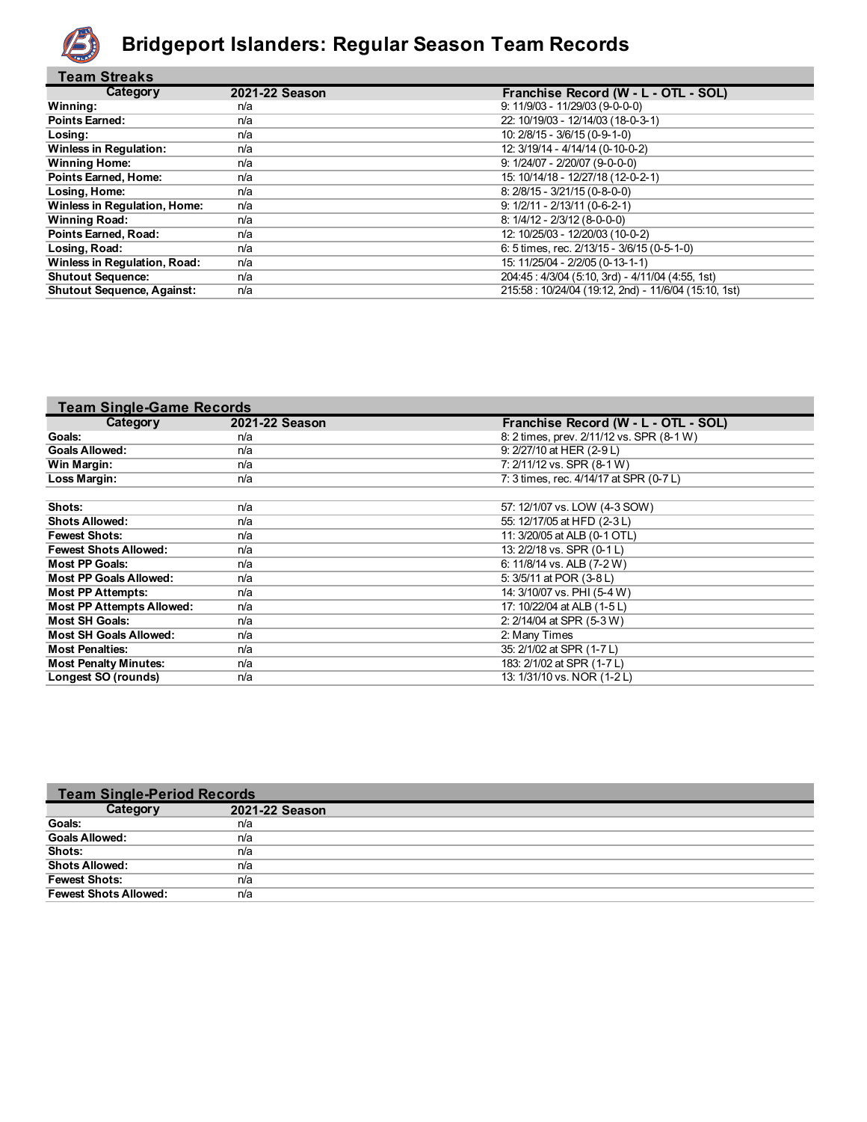

#### **Bridgeport Islanders: Regular Season Team Records**

| <b>Team Streaks</b>                 |                |                                                      |
|-------------------------------------|----------------|------------------------------------------------------|
| Category                            | 2021-22 Season | Franchise Record (W - L - OTL - SOL)                 |
| Winning:                            | n/a            | $9: 11/9/03 - 11/29/03 (9-0-0)$                      |
| <b>Points Earned:</b>               | n/a            | 22: 10/19/03 - 12/14/03 (18-0-3-1)                   |
| Losing:                             | n/a            | 10: 2/8/15 - 3/6/15 (0-9-1-0)                        |
| <b>Winless in Regulation:</b>       | n/a            | 12: 3/19/14 - 4/14/14 (0-10-0-2)                     |
| <b>Winning Home:</b>                | n/a            | $9: 1/24/07 - 2/20/07 (9-0-0-0)$                     |
| Points Earned, Home:                | n/a            | 15: 10/14/18 - 12/27/18 (12-0-2-1)                   |
| Losing, Home:                       | n/a            | $8: 2/8/15 - 3/21/15 (0-8-0-0)$                      |
| <b>Winless in Requlation, Home:</b> | n/a            | $9: 1/2/11 - 2/13/11 (0-6-2-1)$                      |
| <b>Winning Road:</b>                | n/a            | $8: 1/4/12 - 2/3/12$ (8-0-0-0)                       |
| Points Earned, Road:                | n/a            | 12: 10/25/03 - 12/20/03 (10-0-2)                     |
| Losing, Road:                       | n/a            | 6: 5 times, rec. 2/13/15 - 3/6/15 (0-5-1-0)          |
| Winless in Regulation, Road:        | n/a            | 15: 11/25/04 - 2/2/05 (0-13-1-1)                     |
| <b>Shutout Sequence:</b>            | n/a            | 204:45: 4/3/04 (5:10, 3rd) - 4/11/04 (4:55, 1st)     |
| <b>Shutout Sequence, Against:</b>   | n/a            | 215:58: 10/24/04 (19:12, 2nd) - 11/6/04 (15:10, 1st) |

| <b>Team Single-Game Records</b>  |                |                                           |
|----------------------------------|----------------|-------------------------------------------|
| Category                         | 2021-22 Season | Franchise Record (W - L - OTL - SOL)      |
| Goals:                           | n/a            | 8: 2 times, prev. 2/11/12 vs. SPR (8-1 W) |
| <b>Goals Allowed:</b>            | n/a            | 9: 2/27/10 at HER (2-9 L)                 |
| Win Margin:                      | n/a            | 7: 2/11/12 vs. SPR (8-1 W)                |
| Loss Margin:                     | n/a            | 7: 3 times, rec. 4/14/17 at SPR (0-7 L)   |
|                                  |                |                                           |
| Shots:                           | n/a            | 57: 12/1/07 vs. LOW (4-3 SOW)             |
| <b>Shots Allowed:</b>            | n/a            | 55: 12/17/05 at HFD (2-3 L)               |
| <b>Fewest Shots:</b>             | n/a            | 11: 3/20/05 at ALB (0-1 OTL)              |
| <b>Fewest Shots Allowed:</b>     | n/a            | 13: 2/2/18 vs. SPR (0-1 L)                |
| <b>Most PP Goals:</b>            | n/a            | 6: 11/8/14 vs. ALB (7-2 W)                |
| <b>Most PP Goals Allowed:</b>    | n/a            | 5: 3/5/11 at POR (3-8 L)                  |
| <b>Most PP Attempts:</b>         | n/a            | 14: 3/10/07 vs. PHI (5-4 W)               |
| <b>Most PP Attempts Allowed:</b> | n/a            | 17: 10/22/04 at ALB (1-5 L)               |
| <b>Most SH Goals:</b>            | n/a            | 2: 2/14/04 at SPR (5-3 W)                 |
| <b>Most SH Goals Allowed:</b>    | n/a            | 2: Many Times                             |
| <b>Most Penalties:</b>           | n/a            | 35: 2/1/02 at SPR (1-7 L)                 |
| <b>Most Penalty Minutes:</b>     | n/a            | 183: 2/1/02 at SPR (1-7 L)                |
| Longest SO (rounds)              | n/a            | 13: 1/31/10 vs. NOR (1-2L)                |

| <b>Team Single-Period Records</b> |                |  |  |  |
|-----------------------------------|----------------|--|--|--|
| Category                          | 2021-22 Season |  |  |  |
| <b>Goals:</b>                     | n/a            |  |  |  |
| <b>Goals Allowed:</b>             | n/a            |  |  |  |
| Shots:                            | n/a            |  |  |  |
| <b>Shots Allowed:</b>             | n/a            |  |  |  |
| <b>Fewest Shots:</b>              | n/a            |  |  |  |
| <b>Fewest Shots Allowed:</b>      | n/a            |  |  |  |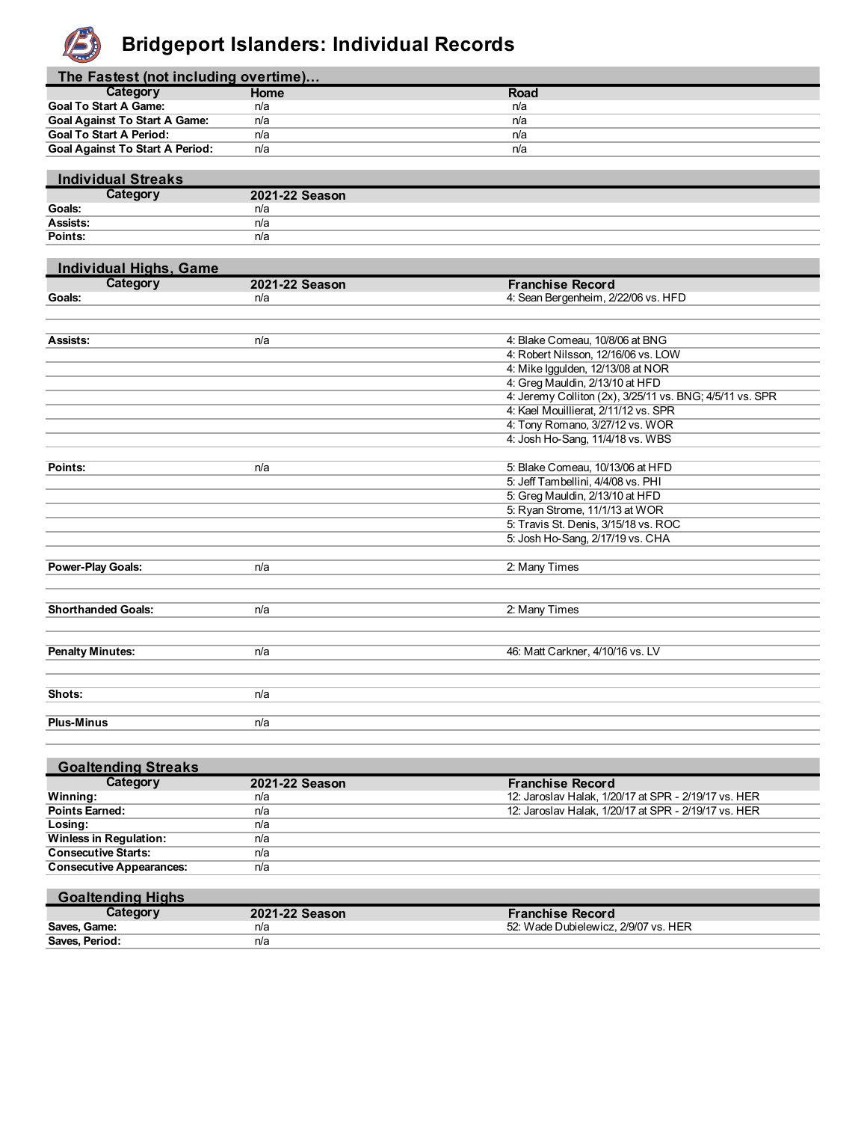

#### **Bridgeport Islanders: Individual Records**

| The Fastest (not including overtime)   |             |      |  |  |
|----------------------------------------|-------------|------|--|--|
| Category                               | <b>Home</b> | Road |  |  |
| <b>Goal To Start A Game:</b>           | n/a         | n/a  |  |  |
| <b>Goal Against To Start A Game:</b>   | n/a         | n/a  |  |  |
| <b>Goal To Start A Period:</b>         | n/a         | n/a  |  |  |
| <b>Goal Against To Start A Period:</b> | n/a         | n/a  |  |  |

| <b>Individual Streaks</b> |                |
|---------------------------|----------------|
| Category                  | 2021-22 Season |
| Goals:                    | n/a            |
| Assists:                  | n/a            |
| Points:                   | n/a            |

| <b>Individual Highs, Game</b> |                |                                                          |
|-------------------------------|----------------|----------------------------------------------------------|
| Category                      | 2021-22 Season | <b>Franchise Record</b>                                  |
| Goals:                        | n/a            | 4: Sean Bergenheim, 2/22/06 vs. HFD                      |
|                               |                |                                                          |
|                               |                |                                                          |
| Assists:                      | n/a            | 4: Blake Comeau, 10/8/06 at BNG                          |
|                               |                | 4: Robert Nilsson, 12/16/06 vs. LOW                      |
|                               |                | 4: Mike Iggulden, 12/13/08 at NOR                        |
|                               |                | 4: Greg Mauldin, 2/13/10 at HFD                          |
|                               |                | 4: Jeremy Colliton (2x), 3/25/11 vs. BNG; 4/5/11 vs. SPR |
|                               |                | 4: Kael Mouillierat, 2/11/12 vs. SPR                     |
|                               |                | 4: Tony Romano, 3/27/12 vs. WOR                          |
|                               |                | 4: Josh Ho-Sang, 11/4/18 vs. WBS                         |
|                               |                |                                                          |
| Points:                       | n/a            | 5: Blake Comeau, 10/13/06 at HFD                         |
|                               |                | 5: Jeff Tambellini, 4/4/08 vs. PHI                       |
|                               |                | 5: Greg Mauldin, 2/13/10 at HFD                          |
|                               |                | 5: Ryan Strome, 11/1/13 at WOR                           |
|                               |                | 5: Travis St. Denis, 3/15/18 vs. ROC                     |
|                               |                | 5: Josh Ho-Sang, 2/17/19 vs. CHA                         |
|                               |                |                                                          |
| <b>Power-Play Goals:</b>      | n/a            | 2: Many Times                                            |
|                               |                |                                                          |
|                               |                |                                                          |
| <b>Shorthanded Goals:</b>     | n/a            | 2: Many Times                                            |
|                               |                |                                                          |
|                               |                |                                                          |
| <b>Penalty Minutes:</b>       | n/a            | 46: Matt Carkner, 4/10/16 vs. LV                         |
|                               |                |                                                          |
|                               |                |                                                          |
| Shots:                        | n/a            |                                                          |
|                               |                |                                                          |
| <b>Plus-Minus</b>             | n/a            |                                                          |

| <b>Goaltending Streaks</b>      |                |                                                      |
|---------------------------------|----------------|------------------------------------------------------|
| Category                        | 2021-22 Season | <b>Franchise Record</b>                              |
| Winning:                        | n/a            | 12: Jaroslav Halak, 1/20/17 at SPR - 2/19/17 vs. HER |
| <b>Points Earned:</b>           | n/a            | 12: Jaroslav Halak, 1/20/17 at SPR - 2/19/17 vs. HER |
| Losing:                         | n/a            |                                                      |
| <b>Winless in Regulation:</b>   | n/a            |                                                      |
| <b>Consecutive Starts:</b>      | n/a            |                                                      |
| <b>Consecutive Appearances:</b> | n/a            |                                                      |

| <b>Goaltending Highs</b> |                |                                      |
|--------------------------|----------------|--------------------------------------|
| Category                 | 2021-22 Season | <b>Franchise Record</b>              |
| Saves, Game:             | n/a            | 52: Wade Dubielewicz, 2/9/07 vs. HER |
| Saves, Period:           | n/a            |                                      |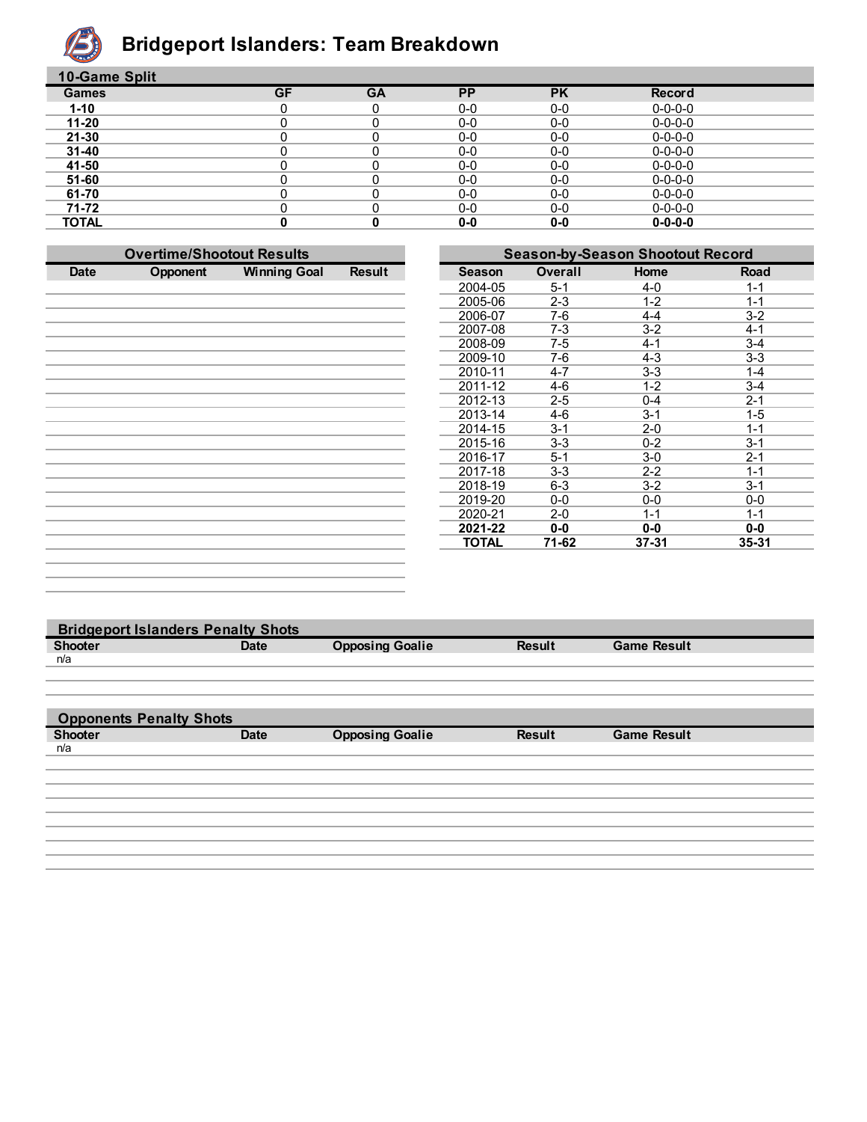

### **Bridgeport Islanders: Team Breakdown**

| 10-Game Split |           |           |           |           |                 |  |
|---------------|-----------|-----------|-----------|-----------|-----------------|--|
| <b>Games</b>  | <b>GF</b> | <b>GA</b> | <b>PP</b> | <b>PK</b> | Record          |  |
| $1 - 10$      |           | 0         | $0-0$     | $0-0$     | $0 - 0 - 0 - 0$ |  |
| $11 - 20$     |           |           | $0-0$     | $0-0$     | $0 - 0 - 0 - 0$ |  |
| $21 - 30$     |           |           | $0-0$     | $0-0$     | $0 - 0 - 0 - 0$ |  |
| $31 - 40$     |           |           | $0-0$     | $0-0$     | $0 - 0 - 0 - 0$ |  |
| 41-50         |           |           | $0-0$     | $0-0$     | $0 - 0 - 0 - 0$ |  |
| 51-60         |           |           | $0-0$     | $0-0$     | $0 - 0 - 0 - 0$ |  |
| 61-70         |           |           | $0-0$     | $0-0$     | $0 - 0 - 0 - 0$ |  |
| 71-72         |           | 0         | $0-0$     | $0-0$     | $0 - 0 - 0 - 0$ |  |
| <b>TOTAL</b>  |           |           | $0-0$     | 0-0       | $0 - 0 - 0 - 0$ |  |

|             | <b>Overtime/Shootout Results</b> |                     |               | <b>Season-by-Season Shootout Record</b> |                |           |           |
|-------------|----------------------------------|---------------------|---------------|-----------------------------------------|----------------|-----------|-----------|
| <b>Date</b> | Opponent                         | <b>Winning Goal</b> | <b>Result</b> | <b>Season</b>                           | <b>Overall</b> | Home      | Road      |
|             |                                  |                     |               | 2004-05                                 | $5 - 1$        | $4 - 0$   | $1 - 1$   |
|             |                                  |                     |               | 2005-06                                 | $2 - 3$        | $1 - 2$   | $1 - 1$   |
|             |                                  |                     |               | 2006-07                                 | 7-6            | $4 - 4$   | $3-2$     |
|             |                                  |                     |               | 2007-08                                 | $7 - 3$        | $3-2$     | $4 - 1$   |
|             |                                  |                     |               | 2008-09                                 | 7-5            | $4 - 1$   | $3 - 4$   |
|             |                                  |                     |               | 2009-10                                 | 7-6            | $4 - 3$   | $3-3$     |
|             |                                  |                     |               | 2010-11                                 | 4-7            | $3-3$     | $1 - 4$   |
|             |                                  |                     |               | 2011-12                                 | 4-6            | $1 - 2$   | $3 - 4$   |
|             |                                  |                     |               | 2012-13                                 | $2 - 5$        | $0 - 4$   | $2 - 1$   |
|             |                                  |                     |               | 2013-14                                 | 4-6            | $3 - 1$   | $1 - 5$   |
|             |                                  |                     |               | 2014-15                                 | $3 - 1$        | $2 - 0$   | $1 - 1$   |
|             |                                  |                     |               | 2015-16                                 | $3 - 3$        | $0 - 2$   | $3 - 1$   |
|             |                                  |                     |               | 2016-17                                 | $5 - 1$        | $3-0$     | $2 - 1$   |
|             |                                  |                     |               | 2017-18                                 | $3 - 3$        | $2 - 2$   | $1 - 1$   |
|             |                                  |                     |               | 2018-19                                 | $6 - 3$        | $3 - 2$   | $3 - 1$   |
|             |                                  |                     |               | 2019-20                                 | $0-0$          | $0-0$     | $0-0$     |
|             |                                  |                     |               | 2020-21                                 | $2 - 0$        | $1 - 1$   | $1 - 1$   |
|             |                                  |                     |               | 2021-22                                 | $0-0$          | $0-0$     | $0-0$     |
|             |                                  |                     |               | <b>TOTAL</b>                            | 71-62          | $37 - 31$ | $35 - 31$ |
|             |                                  |                     |               |                                         |                |           |           |
|             |                                  |                     |               |                                         |                |           |           |
|             |                                  |                     |               |                                         |                |           |           |

| <b>Bridgeport Islanders Penalty Shots</b> |             |                        |               |                    |
|-------------------------------------------|-------------|------------------------|---------------|--------------------|
| <b>Shooter</b>                            | <b>Date</b> | <b>Opposing Goalie</b> | <b>Result</b> | <b>Game Result</b> |
| n/a                                       |             |                        |               |                    |
|                                           |             |                        |               |                    |
|                                           |             |                        |               |                    |
|                                           |             |                        |               |                    |
| <b>Opponents Penalty Shots</b>            |             |                        |               |                    |
| <b>Shooter</b>                            | <b>Date</b> | <b>Opposing Goalie</b> | <b>Result</b> | <b>Game Result</b> |
| n/a                                       |             |                        |               |                    |
|                                           |             |                        |               |                    |
|                                           |             |                        |               |                    |
|                                           |             |                        |               |                    |
|                                           |             |                        |               |                    |
|                                           |             |                        |               |                    |
|                                           |             |                        |               |                    |
|                                           |             |                        |               |                    |
|                                           |             |                        |               |                    |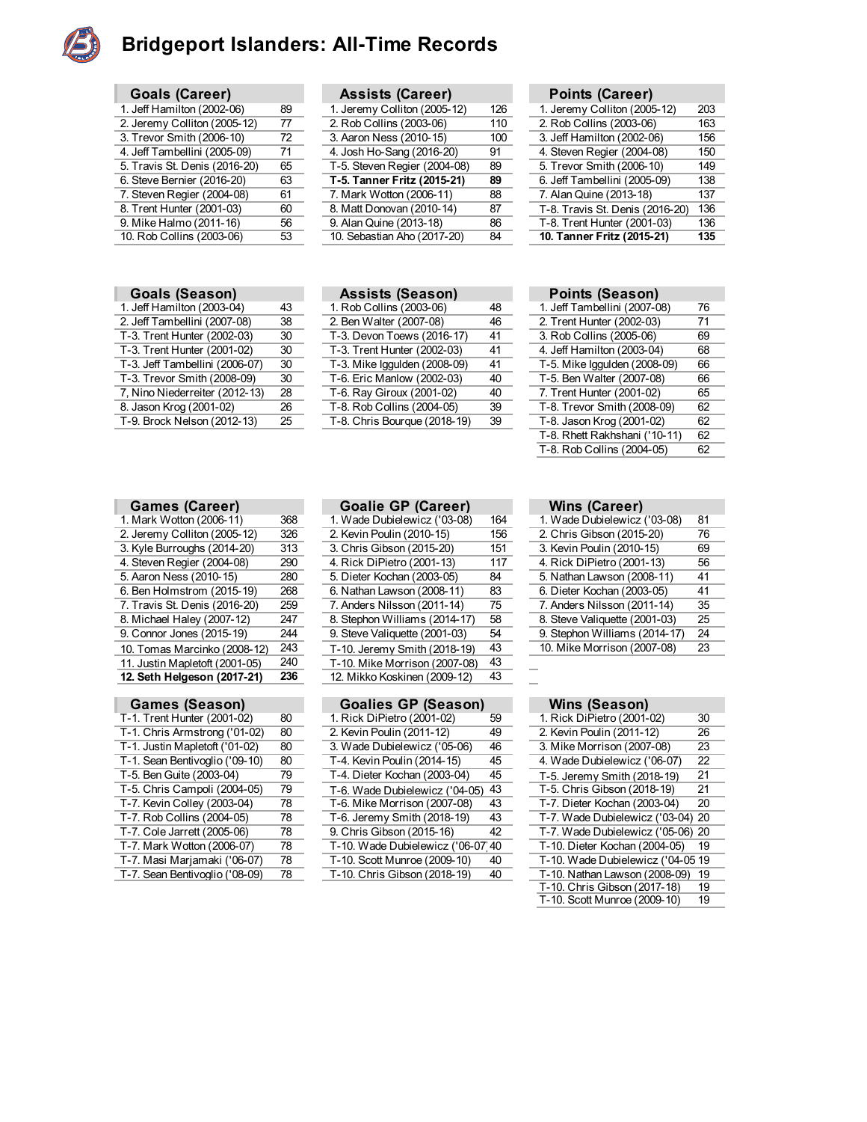

#### **Bridgeport Islanders: All-Time Records**

| <b>Goals (Career)</b>         |    |
|-------------------------------|----|
| 1. Jeff Hamilton (2002-06)    | 89 |
| 2. Jeremy Colliton (2005-12)  | 77 |
| 3. Trevor Smith (2006-10)     | 72 |
| 4. Jeff Tambellini (2005-09)  | 71 |
| 5. Travis St. Denis (2016-20) | 65 |
| 6. Steve Bernier (2016-20)    | 63 |
| 7. Steven Regier (2004-08)    | 61 |
| 8. Trent Hunter (2001-03)     | 60 |
| 9. Mike Halmo (2011-16)       | 56 |
| 10. Rob Collins (2003-06)     | 53 |

|  | <b>Goals (Season)</b> |
|--|-----------------------|
|--|-----------------------|

| 1. Jeff Hamilton (2003-04)     | 43 | 1. Rob Collins (2003-06)     | 48 |
|--------------------------------|----|------------------------------|----|
| 2. Jeff Tambellini (2007-08)   | 38 | 2. Ben Walter (2007-08)      | 46 |
| T-3. Trent Hunter (2002-03)    | 30 | T-3. Devon Toews (2016-17)   | 41 |
| T-3. Trent Hunter (2001-02)    | 30 | T-3. Trent Hunter (2002-03)  | 41 |
| T-3. Jeff Tambellini (2006-07) | 30 | T-3. Mike Iggulden (2008-09) | 41 |
| T-3. Trevor Smith (2008-09)    | 30 | T-6. Eric Manlow (2002-03)   | 40 |
| 7, Nino Niederreiter (2012-13) | 28 | T-6. Ray Giroux (2001-02)    | 40 |
| 8. Jason Krog (2001-02)        | 26 | T-8. Rob Collins (2004-05)   | 39 |
| T-9. Brock Nelson (2012-13)    | 25 | T-8. Chris Bourque (2018-19) | 39 |
|                                |    |                              |    |

| Goals (Career)                |    | <b>Assists (Career)</b>      |     | Points (Career)                 |     |
|-------------------------------|----|------------------------------|-----|---------------------------------|-----|
| 1. Jeff Hamilton (2002-06)    | 89 | 1. Jeremy Colliton (2005-12) | 126 | 1. Jeremy Colliton (2005-12)    | 203 |
| 2. Jeremy Colliton (2005-12)  | 77 | 2. Rob Collins (2003-06)     | 110 | 2. Rob Collins (2003-06)        | 163 |
| 3. Trevor Smith (2006-10)     | 72 | 3. Aaron Ness (2010-15)      | 100 | 3. Jeff Hamilton (2002-06)      | 156 |
| 4. Jeff Tambellini (2005-09)  | 71 | 4. Josh Ho-Sang (2016-20)    | 91  | 4. Steven Regier (2004-08)      | 150 |
| 5. Travis St. Denis (2016-20) | 65 | T-5. Steven Regier (2004-08) | 89  | 5. Trevor Smith (2006-10)       | 149 |
| 6. Steve Bernier (2016-20)    | 63 | T-5. Tanner Fritz (2015-21)  | 89  | 6. Jeff Tambellini (2005-09)    | 138 |
| 7. Steven Regier (2004-08)    | 61 | 7. Mark Wotton (2006-11)     | 88  | 7. Alan Quine (2013-18)         | 137 |
| 8. Trent Hunter (2001-03)     | 60 | 8. Matt Donovan (2010-14)    | 87  | T-8. Travis St. Denis (2016-20) | 136 |
| 9. Mike Halmo (2011-16)       | 56 | 9. Alan Quine (2013-18)      | 86  | T-8. Trent Hunter (2001-03)     | 136 |
| 10. Rob Collins (2003-06)     | 53 | 10. Sebastian Aho (2017-20)  | 84  | 10. Tanner Fritz (2015-21)      | 135 |
|                               |    |                              |     |                                 |     |

**Assists (Season)** 48<br>Rob Collins (2003-06) 48

| <b>Points (Career)</b>          |     |
|---------------------------------|-----|
| 1. Jeremy Colliton (2005-12)    | 203 |
| 2. Rob Collins (2003-06)        | 163 |
| 3. Jeff Hamilton (2002-06)      | 156 |
| 4. Steven Regier (2004-08)      | 150 |
| 5. Trevor Smith (2006-10)       | 149 |
| 6. Jeff Tambellini (2005-09)    | 138 |
| 7. Alan Quine (2013-18)         | 137 |
| T-8. Travis St. Denis (2016-20) | 136 |
| T-8. Trent Hunter (2001-03)     | 136 |
| 10. Tanner Fritz (2015-21)      | 135 |

| <b>Points (Season)</b>        |    |
|-------------------------------|----|
| 1. Jeff Tambellini (2007-08)  | 76 |
| 2. Trent Hunter (2002-03)     | 71 |
| 3. Rob Collins (2005-06)      | 69 |
| 4. Jeff Hamilton (2003-04)    | 68 |
| T-5. Mike Iggulden (2008-09)  | 66 |
| T-5. Ben Walter (2007-08)     | 66 |
| 7. Trent Hunter (2001-02)     | 65 |
| T-8. Trevor Smith (2008-09)   | 62 |
| T-8. Jason Krog (2001-02)     | 62 |
| T-8. Rhett Rakhshani ('10-11) | 62 |
| T-8. Rob Collins (2004-05)    | 62 |
|                               |    |

| Games (Career)                 |     |
|--------------------------------|-----|
| 1. Mark Wotton (2006-11)       | 368 |
| 2. Jeremy Colliton (2005-12)   | 326 |
| 3. Kyle Burroughs (2014-20)    | 313 |
| 4. Steven Regier (2004-08)     | 290 |
| 5. Aaron Ness (2010-15)        | 280 |
| 6. Ben Holmstrom (2015-19)     | 268 |
| 7. Travis St. Denis (2016-20)  | 259 |
| 8. Michael Haley (2007-12)     | 247 |
| 9. Connor Jones (2015-19)      | 244 |
| 10. Tomas Marcinko (2008-12)   | 243 |
| 11. Justin Mapletoft (2001-05) | 240 |
| 12. Seth Helgeson (2017-21)    | 236 |
|                                |     |
|                                |     |

| Games (Season)                 |    |
|--------------------------------|----|
| T-1. Trent Hunter (2001-02)    | 80 |
| T-1. Chris Armstrong ('01-02)  | 80 |
| T-1. Justin Mapletoft ('01-02) | 80 |
| T-1. Sean Bentivoglio ('09-10) | 80 |
| T-5. Ben Guite (2003-04)       | 79 |
| T-5. Chris Campoli (2004-05)   | 79 |
| T-7. Kevin Colley (2003-04)    | 78 |
| T-7. Rob Collins (2004-05)     | 78 |
| T-7. Cole Jarrett (2005-06)    | 78 |
| T-7. Mark Wotton (2006-07)     | 78 |
| T-7. Masi Marjamaki ('06-07)   | 78 |
| T-7. Sean Bentivoglio ('08-09) | 78 |

| <b>Goalie GP (Career</b> |  |  |
|--------------------------|--|--|

| <b>Games (Career)</b>          |     | <b>Goalie GP (Career)</b>     |     | Wins (Career)                 |    |
|--------------------------------|-----|-------------------------------|-----|-------------------------------|----|
| 1. Mark Wotton (2006-11)       | 368 | 1. Wade Dubielewicz ('03-08)  | 164 | 1. Wade Dubielewicz ('03-08)  | 81 |
| 2. Jeremy Colliton (2005-12)   | 326 | 2. Kevin Poulin (2010-15)     | 156 | 2. Chris Gibson (2015-20)     | 76 |
| 3. Kyle Burroughs (2014-20)    | 313 | 3. Chris Gibson (2015-20)     | 151 | 3. Kevin Poulin (2010-15)     | 69 |
| 4. Steven Regier (2004-08)     | 290 | 4. Rick DiPietro (2001-13)    | 117 | 4. Rick DiPietro (2001-13)    | 56 |
| 5. Aaron Ness (2010-15)        | 280 | 5. Dieter Kochan (2003-05)    | 84  | 5. Nathan Lawson (2008-11)    | 41 |
| 6. Ben Holmstrom (2015-19)     | 268 | 6. Nathan Lawson (2008-11)    | 83  | 6. Dieter Kochan (2003-05)    | 41 |
| 7. Travis St. Denis (2016-20)  | 259 | 7. Anders Nilsson (2011-14)   | 75  | 7. Anders Nilsson (2011-14)   | 35 |
| 8. Michael Haley (2007-12)     | 247 | 8. Stephon Williams (2014-17) | 58  | 8. Steve Valiquette (2001-03) | 25 |
| 9. Connor Jones (2015-19)      | 244 | 9. Steve Valiquette (2001-03) | 54  | 9. Stephon Williams (2014-17) | 24 |
| 10. Tomas Marcinko (2008-12)   | 243 | T-10. Jeremy Smith (2018-19)  | 43  | 10. Mike Morrison (2007-08)   | 23 |
| 11. Justin Mapletoft (2001-05) | 240 | T-10. Mike Morrison (2007-08) | 43  |                               |    |
| 12. Seth Helgeson (2017-21)    | 236 | 12. Mikko Koskinen (2009-12)  | 43  |                               |    |
|                                |     |                               |     |                               |    |

| <b>Games (Season)</b>          |    | <b>Goalies GP (Season)</b>         |    | Wins (Season)                     |    |
|--------------------------------|----|------------------------------------|----|-----------------------------------|----|
| T-1. Trent Hunter (2001-02)    | 80 | 1. Rick DiPietro (2001-02)         | 59 | 1. Rick DiPietro (2001-02)        | 30 |
| T-1. Chris Armstrong ('01-02)  | 80 | 2. Kevin Poulin (2011-12)          | 49 | 2. Kevin Poulin (2011-12)         | 26 |
| T-1. Justin Mapletoft ('01-02) | 80 | 3. Wade Dubielewicz ('05-06)       | 46 | 3. Mike Morrison (2007-08)        | 23 |
| T-1. Sean Bentivoglio ('09-10) | 80 | T-4. Kevin Poulin (2014-15)        | 45 | 4. Wade Dubielewicz ('06-07)      | 22 |
| T-5. Ben Guite (2003-04)       | 79 | T-4. Dieter Kochan (2003-04)       | 45 | T-5. Jeremy Smith (2018-19)       | 21 |
| T-5. Chris Campoli (2004-05)   | 79 | T-6. Wade Dubielewicz ('04-05)     | 43 | T-5. Chris Gibson (2018-19)       | 21 |
| T-7. Kevin Colley (2003-04)    | 78 | T-6. Mike Morrison (2007-08)       | 43 | T-7. Dieter Kochan (2003-04)      | 20 |
| T-7. Rob Collins (2004-05)     | 78 | T-6. Jeremy Smith (2018-19)        | 43 | T-7. Wade Dubielewicz ('03-04) 20 |    |
| T-7. Cole Jarrett (2005-06)    | 78 | 9. Chris Gibson (2015-16)          | 42 | T-7. Wade Dubielewicz ('05-06) 20 |    |
| T-7. Mark Wotton (2006-07)     | 78 | T-10. Wade Dubielewicz ('06-07' 40 |    | T-10. Dieter Kochan (2004-05)     | 19 |
| T-7. Masi Marjamaki ('06-07)   | 78 | T-10. Scott Munroe (2009-10)       | 40 | T-10. Wade Dubielewicz ('04-05 19 |    |
| T-7. Sean Bentivoglio ('08-09) | 78 | T-10. Chris Gibson (2018-19)       | 40 | T-10. Nathan Lawson (2008-09) 19  |    |
|                                |    |                                    |    | T 10 Chric Cibcon (2017 18)       | 10 |

| 1. Wade Dubielewicz ('03-08)  | 81 |  |
|-------------------------------|----|--|
| 2. Chris Gibson (2015-20)     | 76 |  |
| 3. Kevin Poulin (2010-15)     | 69 |  |
| 4. Rick DiPietro (2001-13)    | 56 |  |
| 5. Nathan Lawson (2008-11)    | 41 |  |
| 6. Dieter Kochan (2003-05)    | 41 |  |
| 7. Anders Nilsson (2011-14)   | 35 |  |
| 8. Steve Valiguette (2001-03) | 25 |  |
| 9. Stephon Williams (2014-17) | 24 |  |
| 10. Mike Morrison (2007-08)   | 23 |  |
|                               |    |  |

| Wins (Season) |
|---------------|
|---------------|

| 1. Rick DiPietro (2001-02)     | 30 |
|--------------------------------|----|
| 2. Kevin Poulin (2011-12)      | 26 |
| 3. Mike Morrison (2007-08)     | 23 |
| 4. Wade Dubielewicz ('06-07)   | 22 |
| T-5. Jeremy Smith (2018-19)    | 21 |
| T-5. Chris Gibson (2018-19)    | 21 |
| T-7. Dieter Kochan (2003-04)   | 20 |
| T-7. Wade Dubielewicz ('03-04) | 20 |
| T-7. Wade Dubielewicz ('05-06) | 20 |
| T-10. Dieter Kochan (2004-05)  | 19 |
| T-10. Wade Dubielewicz ('04-05 | 19 |
| T-10. Nathan Lawson (2008-09)  | 19 |
| T-10. Chris Gibson (2017-18)   | 19 |
| T-10. Scott Munroe (2009-10)   | 19 |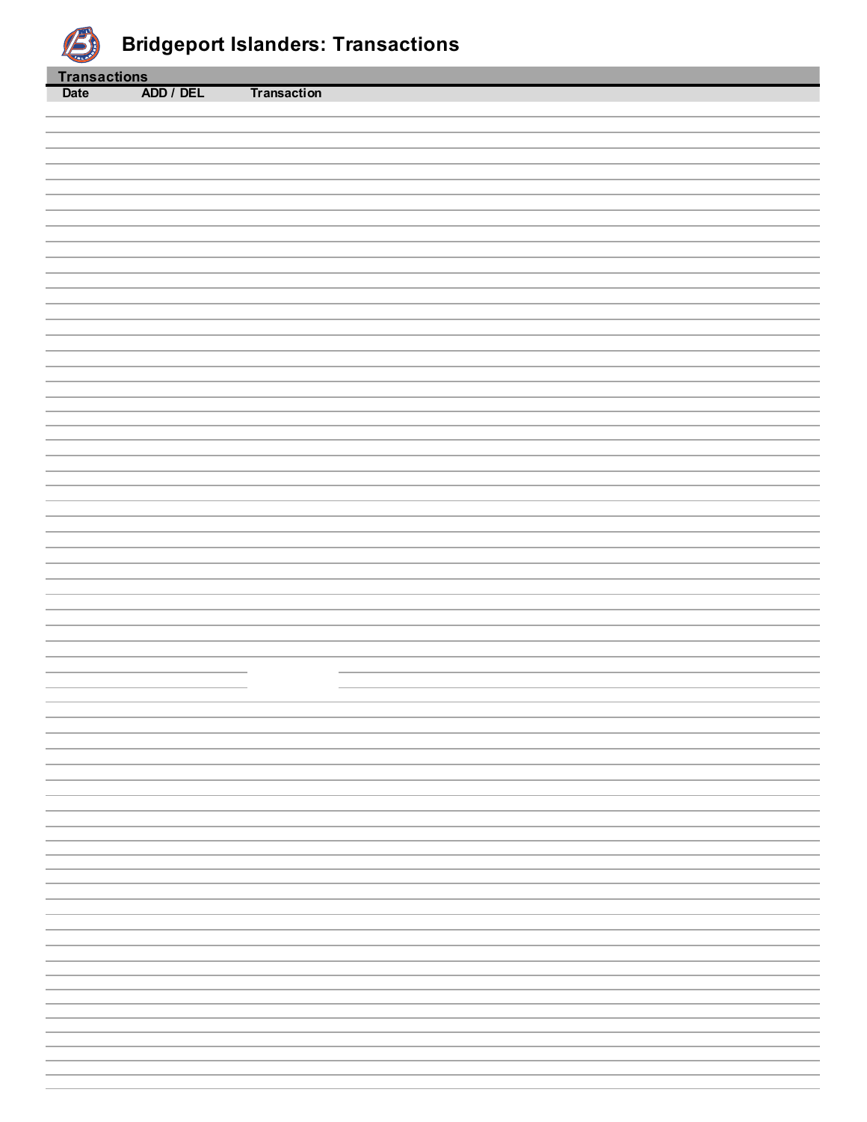

| <b>Transactions</b> |           |                    |
|---------------------|-----------|--------------------|
| <b>Date</b>         | ADD / DEL | <b>Transaction</b> |
|                     |           |                    |
|                     |           |                    |
|                     |           |                    |
|                     |           |                    |
|                     |           |                    |
|                     |           |                    |
|                     |           |                    |
|                     |           |                    |
|                     |           |                    |
|                     |           |                    |
|                     |           |                    |
|                     |           |                    |
|                     |           |                    |
|                     |           |                    |
|                     |           |                    |
|                     |           |                    |
|                     |           |                    |
|                     |           |                    |
|                     |           |                    |
|                     |           |                    |
|                     |           |                    |
|                     |           |                    |
|                     |           |                    |
|                     |           |                    |
|                     |           |                    |
|                     |           |                    |
|                     |           |                    |
|                     |           |                    |
|                     |           |                    |
|                     |           |                    |
|                     |           |                    |
|                     |           |                    |
|                     |           |                    |
|                     |           |                    |
|                     |           |                    |
|                     |           |                    |
|                     |           |                    |
|                     |           |                    |
|                     |           |                    |
|                     |           |                    |
|                     |           |                    |
|                     |           |                    |
|                     |           |                    |
|                     |           |                    |
|                     |           |                    |
|                     |           |                    |
|                     |           |                    |
|                     |           |                    |
|                     |           |                    |
|                     |           |                    |
|                     |           |                    |
|                     |           |                    |
|                     |           |                    |
|                     |           |                    |
|                     |           |                    |
|                     |           |                    |
|                     |           |                    |
|                     |           |                    |
|                     |           |                    |
|                     |           |                    |
|                     |           |                    |
|                     |           |                    |
|                     |           |                    |
|                     |           |                    |
|                     |           |                    |
|                     |           |                    |
|                     |           |                    |
|                     |           |                    |
|                     |           |                    |
|                     |           |                    |
|                     |           |                    |